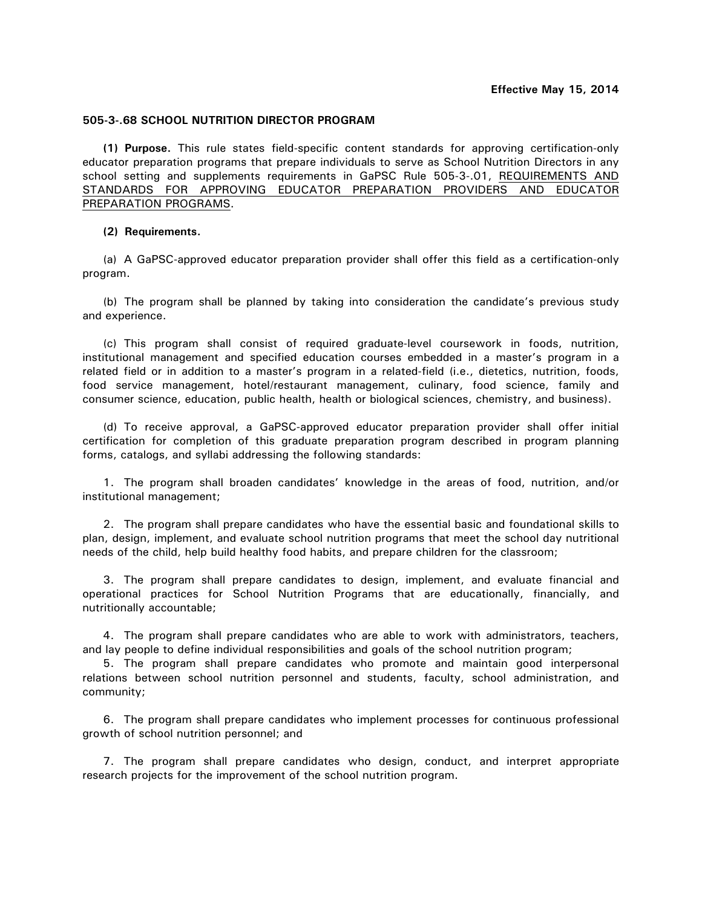## **505-3-.68 SCHOOL NUTRITION DIRECTOR PROGRAM**

**(1) Purpose.** This rule states field-specific content standards for approving certification-only educator preparation programs that prepare individuals to serve as School Nutrition Directors in any school setting and supplements requirements in GaPSC Rule 505-3-.01, REQUIREMENTS AND STANDARDS FOR APPROVING EDUCATOR PREPARATION PROVIDERS AND EDUCATOR PREPARATION PROGRAMS.

## **(2) Requirements.**

(a) A GaPSC-approved educator preparation provider shall offer this field as a certification-only program.

(b) The program shall be planned by taking into consideration the candidate's previous study and experience.

(c) This program shall consist of required graduate-level coursework in foods, nutrition, institutional management and specified education courses embedded in a master's program in a related field or in addition to a master's program in a related-field (i.e., dietetics, nutrition, foods, food service management, hotel/restaurant management, culinary, food science, family and consumer science, education, public health, health or biological sciences, chemistry, and business).

 (d) To receive approval, a GaPSC-approved educator preparation provider shall offer initial certification for completion of this graduate preparation program described in program planning forms, catalogs, and syllabi addressing the following standards:

1. The program shall broaden candidates' knowledge in the areas of food, nutrition, and/or institutional management;

 2. The program shall prepare candidates who have the essential basic and foundational skills to plan, design, implement, and evaluate school nutrition programs that meet the school day nutritional needs of the child, help build healthy food habits, and prepare children for the classroom;

3. The program shall prepare candidates to design, implement, and evaluate financial and operational practices for School Nutrition Programs that are educationally, financially, and nutritionally accountable;

4. The program shall prepare candidates who are able to work with administrators, teachers, and lay people to define individual responsibilities and goals of the school nutrition program;

 5. The program shall prepare candidates who promote and maintain good interpersonal relations between school nutrition personnel and students, faculty, school administration, and community;

 6. The program shall prepare candidates who implement processes for continuous professional growth of school nutrition personnel; and

7. The program shall prepare candidates who design, conduct, and interpret appropriate research projects for the improvement of the school nutrition program.